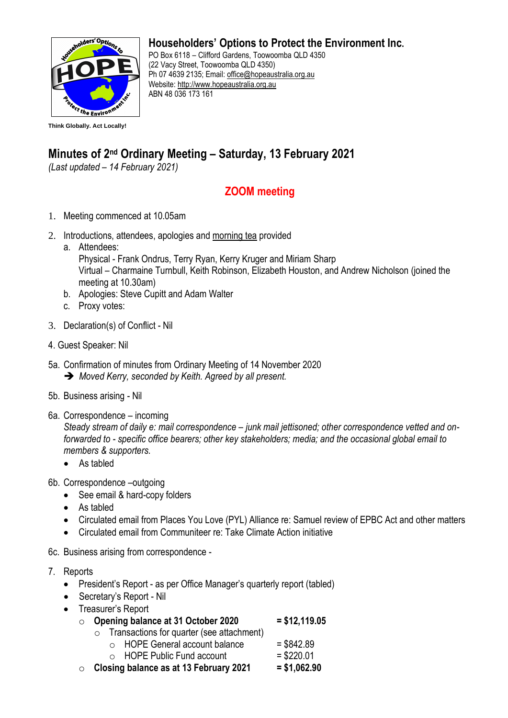

## **Householders' Options to Protect the Environment Inc.**

PO Box 6118 – Clifford Gardens, Toowoomba QLD 4350 (22 Vacy Street, Toowoomba QLD 4350) Ph 07 4639 2135; Email: office@hopeaustralia.org.au Website: [http://www.hopeaustralia.org.au](http://www.hopeaustralia.org.au/) ABN 48 036 173 161

## **Minutes of 2<sup>nd</sup> Ordinary Meeting – Saturday, 13 February 2021**

*(Last updated – 14 February 2021)*

## **ZOOM meeting**

- 1. Meeting commenced at 10.05am
- 2. Introductions, attendees, apologies and morning tea provided
	- a. Attendees:

Physical - Frank Ondrus, Terry Ryan, Kerry Kruger and Miriam Sharp Virtual – Charmaine Turnbull, Keith Robinson, Elizabeth Houston, and Andrew Nicholson (joined the meeting at 10.30am)

- b. Apologies: Steve Cupitt and Adam Walter
- c. Proxy votes:
- 3. Declaration(s) of Conflict Nil
- 4. Guest Speaker: Nil
- 5a. Confirmation of minutes from Ordinary Meeting of 14 November 2020 ➔ *Moved Kerry, seconded by Keith. Agreed by all present.*
- 5b. Business arising Nil
- 6a. Correspondence incoming

*Steady stream of daily e: mail correspondence – junk mail jettisoned; other correspondence vetted and onforwarded to - specific office bearers; other key stakeholders; media; and the occasional global email to members & supporters.* 

- As tabled
- 6b. Correspondence –outgoing
	- See email & hard-copy folders
	- As tabled
	- Circulated email from Places You Love (PYL) Alliance re: Samuel review of EPBC Act and other matters
	- Circulated email from Communiteer re: Take Climate Action initiative
- 6c. Business arising from correspondence -
- 7. Reports
	- President's Report as per Office Manager's quarterly report (tabled)
	- Secretary's Report Nil
	- Treasurer's Report
		- o **Opening balance at 31 October 2020 = \$12,119.05**
			- o Transactions for quarter (see attachment)
				- $\circ$  HOPE General account balance  $= $842.89$
				- $\circ$  HOPE Public Fund account = \$220.01
		- o **Closing balance as at 13 February 2021 = \$1,062.90**